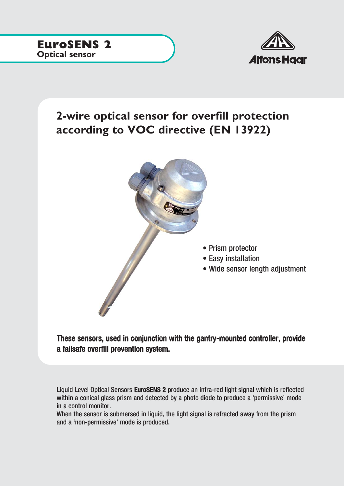

## **2-wire optical sensor for overfill protection according to VOC directive (EN 13922)**



These sensors, used in conjunction with the gantry-mounted controller, provide a failsafe overfill prevention system.

Liquid Level Optical Sensors EuroSENS 2 produce an infra-red light signal which is reflected within a conical glass prism and detected by a photo diode to produce a 'permissive' mode in a control monitor.

When the sensor is submersed in liquid, the light signal is refracted away from the prism and a 'non-permissive' mode is produced.